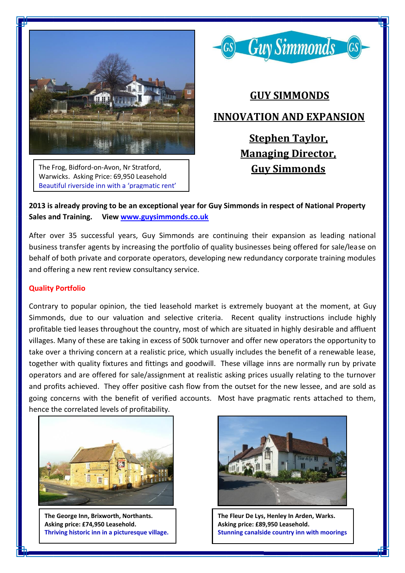

The Frog, Bidford-on-Avon, Nr Stratford, Warwicks. Asking Price: 69,950 Leasehold Beautiful riverside inn with a 'pragmatic rent'



# **GUY SIMMONDS INNOVATION AND EXPANSION Stephen Taylor,**

 **Managing Director, Guy Simmonds**

**2013 is already proving to be an exceptional year for Guy Simmonds in respect of National Property Sales and Training. View [www.guysimmonds.co.uk](http://www.guysimmonds.co.uk/)**

After over 35 successful years, Guy Simmonds are continuing their expansion as leading national business transfer agents by increasing the portfolio of quality businesses being offered for sale/lease on behalf of both private and corporate operators, developing new redundancy corporate training modules and offering a new rent review consultancy service.

## **Quality Portfolio**

Contrary to popular opinion, the tied leasehold market is extremely buoyant at the moment, at Guy Simmonds, due to our valuation and selective criteria. Recent quality instructions include highly profitable tied leases throughout the country, most of which are situated in highly desirable and affluent villages. Many of these are taking in excess of 500k turnover and offer new operators the opportunity to take over a thriving concern at a realistic price, which usually includes the benefit of a renewable lease, together with quality fixtures and fittings and goodwill. These village inns are normally run by private operators and are offered for sale/assignment at realistic asking prices usually relating to the turnover and profits achieved. They offer positive cash flow from the outset for the new lessee, and are sold as going concerns with the benefit of verified accounts. Most have pragmatic rents attached to them, hence the correlated levels of profitability.



**The George Inn, Brixworth, Northants. Asking price: £74,950 Leasehold. Thriving historic inn in a picturesque village.**



**The Fleur De Lys, Henley In Arden, Warks. Asking price: £89,950 Leasehold. Stunning canalside country inn with moorings**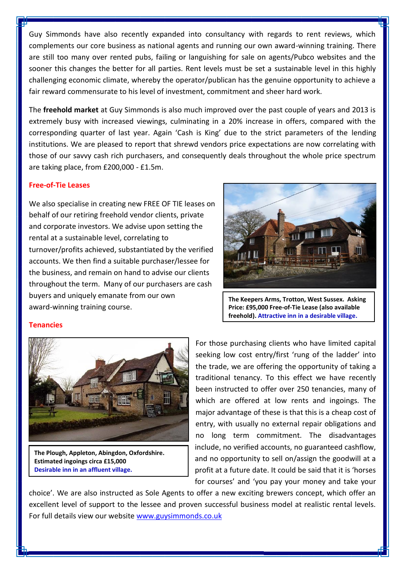Guy Simmonds have also recently expanded into consultancy with regards to rent reviews, which complements our core business as national agents and running our own award-winning training. There are still too many over rented pubs, failing or languishing for sale on agents/Pubco websites and the sooner this changes the better for all parties. Rent levels must be set a sustainable level in this highly challenging economic climate, whereby the operator/publican has the genuine opportunity to achieve a fair reward commensurate to his level of investment, commitment and sheer hard work.

The **freehold market** at Guy Simmonds is also much improved over the past couple of years and 2013 is extremely busy with increased viewings, culminating in a 20% increase in offers, compared with the corresponding quarter of last year. Again 'Cash is King' due to the strict parameters of the lending institutions. We are pleased to report that shrewd vendors price expectations are now correlating with those of our savvy cash rich purchasers, and consequently deals throughout the whole price spectrum are taking place, from £200,000 - £1.5m.

### **Free-of-Tie Leases**

We also specialise in creating new FREE OF TIE leases on behalf of our retiring freehold vendor clients, private and corporate investors. We advise upon setting the rental at a sustainable level, correlating to turnover/profits achieved, substantiated by the verified accounts. We then find a suitable purchaser/lessee for the business, and remain on hand to advise our clients throughout the term. Many of our purchasers are cash buyers and uniquely emanate from our own award-winning training course.



**The Keepers Arms, Trotton, West Sussex. Asking Price: £95,000 Free-of-Tie Lease (also available freehold). Attractive inn in a desirable village.**

#### **Tenancies**



**The Plough, Appleton, Abingdon, Oxfordshire. Estimated ingoings circa £15,000 Desirable inn in an affluent village.**

For those purchasing clients who have limited capital seeking low cost entry/first 'rung of the ladder' into the trade, we are offering the opportunity of taking a traditional tenancy. To this effect we have recently been instructed to offer over 250 tenancies, many of which are offered at low rents and ingoings. The major advantage of these is that this is a cheap cost of entry, with usually no external repair obligations and no long term commitment. The disadvantages include, no verified accounts, no guaranteed cashflow, and no opportunity to sell on/assign the goodwill at a profit at a future date. It could be said that it is 'horses for courses' and 'you pay your money and take your

choice'. We are also instructed as Sole Agents to offer a new exciting brewers concept, which offer an excellent level of support to the lessee and proven successful business model at realistic rental levels. For full details view our website [www.guysimmonds.co.uk](http://www.guysimmonds.co.uk/)